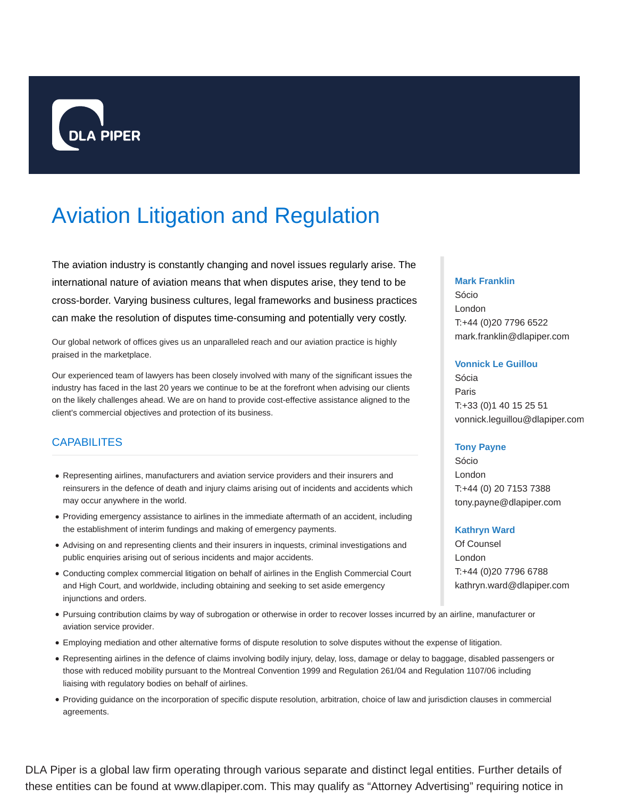

# Aviation Litigation and Regulation

The aviation industry is constantly changing and novel issues regularly arise. The international nature of aviation means that when disputes arise, they tend to be cross-border. Varying business cultures, legal frameworks and business practices can make the resolution of disputes time-consuming and potentially very costly.

Our global network of offices gives us an unparalleled reach and our aviation practice is highly praised in the marketplace.

Our experienced team of lawyers has been closely involved with many of the significant issues the industry has faced in the last 20 years we continue to be at the forefront when advising our clients on the likely challenges ahead. We are on hand to provide cost-effective assistance aligned to the client's commercial objectives and protection of its business.

# **CAPABILITES**

- Representing airlines, manufacturers and aviation service providers and their insurers and reinsurers in the defence of death and injury claims arising out of incidents and accidents which may occur anywhere in the world.
- Providing emergency assistance to airlines in the immediate aftermath of an accident, including the establishment of interim fundings and making of emergency payments.
- Advising on and representing clients and their insurers in inquests, criminal investigations and public enquiries arising out of serious incidents and major accidents.
- Conducting complex commercial litigation on behalf of airlines in the English Commercial Court and High Court, and worldwide, including obtaining and seeking to set aside emergency injunctions and orders.
- Pursuing contribution claims by way of subrogation or otherwise in order to recover losses incurred by an airline, manufacturer or aviation service provider.
- Employing mediation and other alternative forms of dispute resolution to solve disputes without the expense of litigation.
- Representing airlines in the defence of claims involving bodily injury, delay, loss, damage or delay to baggage, disabled passengers or those with reduced mobility pursuant to the Montreal Convention 1999 and Regulation 261/04 and Regulation 1107/06 including liaising with regulatory bodies on behalf of airlines.
- Providing guidance on the incorporation of specific dispute resolution, arbitration, choice of law and jurisdiction clauses in commercial agreements.

### **Mark Franklin**

Sócio London T:+44 (0)20 7796 6522 mark.franklin@dlapiper.com

## **Vonnick Le Guillou**

Sócia Paris T:+33 (0)1 40 15 25 51 vonnick.leguillou@dlapiper.com

## **Tony Payne**

Sócio London T:+44 (0) 20 7153 7388 tony.payne@dlapiper.com

## **Kathryn Ward**

Of Counsel London T:+44 (0)20 7796 6788 kathryn.ward@dlapiper.com

DLA Piper is a global law firm operating through various separate and distinct legal entities. Further details of these entities can be found at www.dlapiper.com. This may qualify as "Attorney Advertising" requiring notice in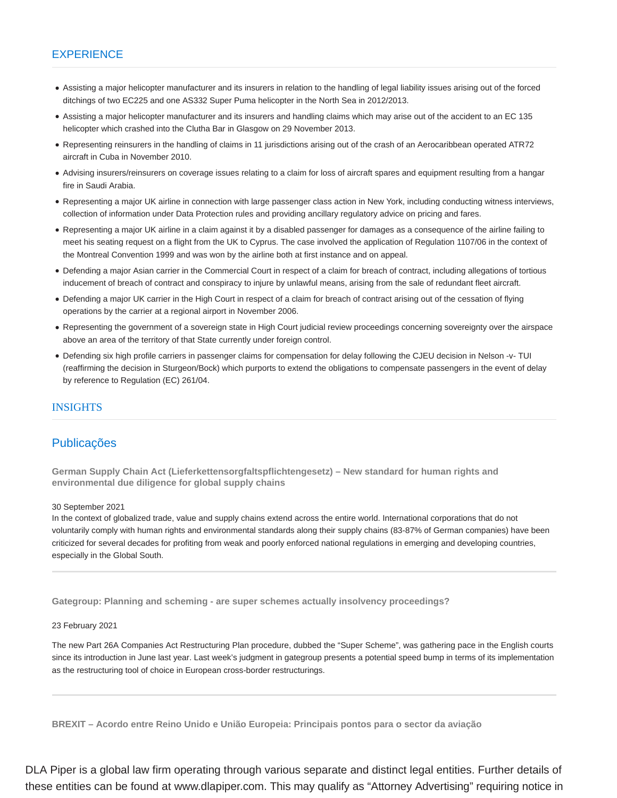## **EXPERIENCE**

- Assisting a major helicopter manufacturer and its insurers in relation to the handling of legal liability issues arising out of the forced ditchings of two EC225 and one AS332 Super Puma helicopter in the North Sea in 2012/2013.
- Assisting a major helicopter manufacturer and its insurers and handling claims which may arise out of the accident to an EC 135 helicopter which crashed into the Clutha Bar in Glasgow on 29 November 2013.
- Representing reinsurers in the handling of claims in 11 jurisdictions arising out of the crash of an Aerocaribbean operated ATR72 aircraft in Cuba in November 2010.
- Advising insurers/reinsurers on coverage issues relating to a claim for loss of aircraft spares and equipment resulting from a hangar fire in Saudi Arabia.
- Representing a major UK airline in connection with large passenger class action in New York, including conducting witness interviews, collection of information under Data Protection rules and providing ancillary regulatory advice on pricing and fares.
- Representing a major UK airline in a claim against it by a disabled passenger for damages as a consequence of the airline failing to meet his seating request on a flight from the UK to Cyprus. The case involved the application of Regulation 1107/06 in the context of the Montreal Convention 1999 and was won by the airline both at first instance and on appeal.
- Defending a major Asian carrier in the Commercial Court in respect of a claim for breach of contract, including allegations of tortious inducement of breach of contract and conspiracy to injure by unlawful means, arising from the sale of redundant fleet aircraft.
- Defending a major UK carrier in the High Court in respect of a claim for breach of contract arising out of the cessation of flying operations by the carrier at a regional airport in November 2006.
- Representing the government of a sovereign state in High Court judicial review proceedings concerning sovereignty over the airspace above an area of the territory of that State currently under foreign control.
- Defending six high profile carriers in passenger claims for compensation for delay following the CJEU decision in Nelson -v- TUI (reaffirming the decision in Sturgeon/Bock) which purports to extend the obligations to compensate passengers in the event of delay by reference to Regulation (EC) 261/04.

## INSIGHTS

## Publicações

**German Supply Chain Act (Lieferkettensorgfaltspflichtengesetz) – New standard for human rights and environmental due diligence for global supply chains**

### 30 September 2021

In the context of globalized trade, value and supply chains extend across the entire world. International corporations that do not voluntarily comply with human rights and environmental standards along their supply chains (83-87% of German companies) have been criticized for several decades for profiting from weak and poorly enforced national regulations in emerging and developing countries, especially in the Global South.

**Gategroup: Planning and scheming - are super schemes actually insolvency proceedings?**

## 23 February 2021

The new Part 26A Companies Act Restructuring Plan procedure, dubbed the "Super Scheme", was gathering pace in the English courts since its introduction in June last year. Last week's judgment in gategroup presents a potential speed bump in terms of its implementation as the restructuring tool of choice in European cross-border restructurings.

**BREXIT – Acordo entre Reino Unido e União Europeia: Principais pontos para o sector da aviação**

DLA Piper is a global law firm operating through various separate and distinct legal entities. Further details of these entities can be found at www.dlapiper.com. This may qualify as "Attorney Advertising" requiring notice in